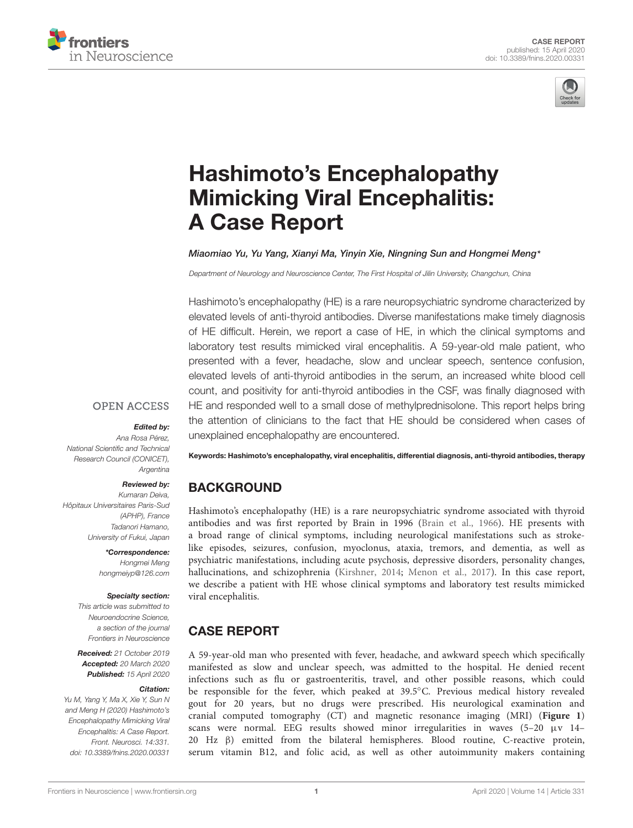



# Hashimoto's Encephalopathy [Mimicking Viral Encephalitis:](https://www.frontiersin.org/articles/10.3389/fnins.2020.00331/full) A Case Report

#### [Miaomiao Yu,](http://loop.frontiersin.org/people/638067/overview) [Yu Yang,](http://loop.frontiersin.org/people/941741/overview) [Xianyi Ma,](http://loop.frontiersin.org/people/941748/overview) Yinyin Xie, Ningning Sun and Hongmei Meng\*

Department of Neurology and Neuroscience Center, The First Hospital of Jilin University, Changchun, China

Hashimoto's encephalopathy (HE) is a rare neuropsychiatric syndrome characterized by elevated levels of anti-thyroid antibodies. Diverse manifestations make timely diagnosis of HE difficult. Herein, we report a case of HE, in which the clinical symptoms and laboratory test results mimicked viral encephalitis. A 59-year-old male patient, who presented with a fever, headache, slow and unclear speech, sentence confusion, elevated levels of anti-thyroid antibodies in the serum, an increased white blood cell count, and positivity for anti-thyroid antibodies in the CSF, was finally diagnosed with HE and responded well to a small dose of methylprednisolone. This report helps bring the attention of clinicians to the fact that HE should be considered when cases of unexplained encephalopathy are encountered.

#### **OPEN ACCESS**

#### Edited by:

Ana Rosa Pérez, National Scientific and Technical Research Council (CONICET), Argentina

#### Reviewed by:

Kumaran Deiva, Hôpitaux Universitaires Paris-Sud (APHP), France Tadanori Hamano, University of Fukui, Japan

> \*Correspondence: Hongmei Meng hongmeiyp@126.com

#### Specialty section:

This article was submitted to Neuroendocrine Science, a section of the journal Frontiers in Neuroscience

Received: 21 October 2019 Accepted: 20 March 2020 Published: 15 April 2020

#### Citation:

Yu M, Yang Y, Ma X, Xie Y, Sun N and Meng H (2020) Hashimoto's Encephalopathy Mimicking Viral Encephalitis: A Case Report. Front. Neurosci. 14:331. doi: [10.3389/fnins.2020.00331](https://doi.org/10.3389/fnins.2020.00331)

Keywords: Hashimoto's encephalopathy, viral encephalitis, differential diagnosis, anti-thyroid antibodies, therapy

## BACKGROUND

Hashimoto's encephalopathy (HE) is a rare neuropsychiatric syndrome associated with thyroid antibodies and was first reported by Brain in 1996 [\(Brain et al.,](#page-3-0) [1966\)](#page-3-0). HE presents with a broad range of clinical symptoms, including neurological manifestations such as strokelike episodes, seizures, confusion, myoclonus, ataxia, tremors, and dementia, as well as psychiatric manifestations, including acute psychosis, depressive disorders, personality changes, hallucinations, and schizophrenia [\(Kirshner,](#page-3-1) [2014;](#page-3-1) [Menon et al.,](#page-3-2) [2017\)](#page-3-2). In this case report, we describe a patient with HE whose clinical symptoms and laboratory test results mimicked viral encephalitis.

## CASE REPORT

A 59-year-old man who presented with fever, headache, and awkward speech which specifically manifested as slow and unclear speech, was admitted to the hospital. He denied recent infections such as flu or gastroenteritis, travel, and other possible reasons, which could be responsible for the fever, which peaked at 39.5◦C. Previous medical history revealed gout for 20 years, but no drugs were prescribed. His neurological examination and cranial computed tomography (CT) and magnetic resonance imaging (MRI) (**[Figure 1](#page-1-0)**) scans were normal. EEG results showed minor irregularities in waves  $(5-20 \mu v)$  14– 20 Hz β) emitted from the bilateral hemispheres. Blood routine, C-reactive protein, serum vitamin B12, and folic acid, as well as other autoimmunity makers containing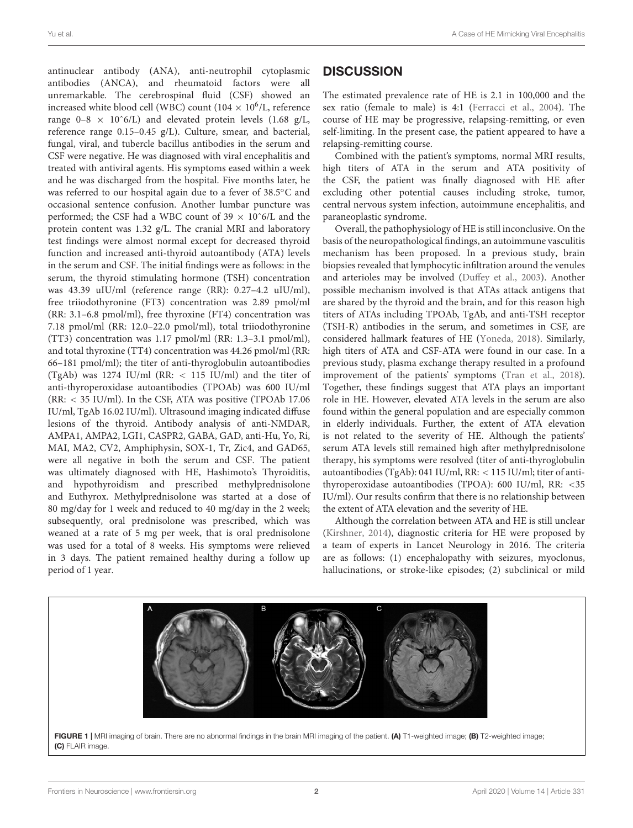antinuclear antibody (ANA), anti-neutrophil cytoplasmic antibodies (ANCA), and rheumatoid factors were all unremarkable. The cerebrospinal fluid (CSF) showed an increased white blood cell (WBC) count (104  $\times$  10<sup>6</sup>/L, reference range  $0-8 \times 10^6$ /L) and elevated protein levels (1.68 g/L, reference range 0.15–0.45 g/L). Culture, smear, and bacterial, fungal, viral, and tubercle bacillus antibodies in the serum and CSF were negative. He was diagnosed with viral encephalitis and treated with antiviral agents. His symptoms eased within a week and he was discharged from the hospital. Five months later, he was referred to our hospital again due to a fever of 38.5◦C and occasional sentence confusion. Another lumbar puncture was performed; the CSF had a WBC count of 39  $\times$  10<sup> $\degree$ 6/L and the</sup> protein content was 1.32 g/L. The cranial MRI and laboratory test findings were almost normal except for decreased thyroid function and increased anti-thyroid autoantibody (ATA) levels in the serum and CSF. The initial findings were as follows: in the serum, the thyroid stimulating hormone (TSH) concentration was 43.39 uIU/ml (reference range (RR): 0.27–4.2 uIU/ml), free triiodothyronine (FT3) concentration was 2.89 pmol/ml (RR: 3.1–6.8 pmol/ml), free thyroxine (FT4) concentration was 7.18 pmol/ml (RR: 12.0–22.0 pmol/ml), total triiodothyronine (TT3) concentration was 1.17 pmol/ml (RR: 1.3–3.1 pmol/ml), and total thyroxine (TT4) concentration was 44.26 pmol/ml (RR: 66–181 pmol/ml); the titer of anti-thyroglobulin autoantibodies (TgAb) was 1274 IU/ml (RR: < 115 IU/ml) and the titer of anti-thyroperoxidase autoantibodies (TPOAb) was 600 IU/ml (RR: < 35 IU/ml). In the CSF, ATA was positive (TPOAb 17.06 IU/ml, TgAb 16.02 IU/ml). Ultrasound imaging indicated diffuse lesions of the thyroid. Antibody analysis of anti-NMDAR, AMPA1, AMPA2, LGI1, CASPR2, GABA, GAD, anti-Hu, Yo, Ri, MAI, MA2, CV2, Amphiphysin, SOX-1, Tr, Zic4, and GAD65, were all negative in both the serum and CSF. The patient was ultimately diagnosed with HE, Hashimoto's Thyroiditis, and hypothyroidism and prescribed methylprednisolone and Euthyrox. Methylprednisolone was started at a dose of 80 mg/day for 1 week and reduced to 40 mg/day in the 2 week; subsequently, oral prednisolone was prescribed, which was weaned at a rate of 5 mg per week, that is oral prednisolone was used for a total of 8 weeks. His symptoms were relieved in 3 days. The patient remained healthy during a follow up period of 1 year.

#### **DISCUSSION**

The estimated prevalence rate of HE is 2.1 in 100,000 and the sex ratio (female to male) is 4:1 [\(Ferracci et al.,](#page-3-3) [2004\)](#page-3-3). The course of HE may be progressive, relapsing-remitting, or even self-limiting. In the present case, the patient appeared to have a relapsing-remitting course.

Combined with the patient's symptoms, normal MRI results, high titers of ATA in the serum and ATA positivity of the CSF, the patient was finally diagnosed with HE after excluding other potential causes including stroke, tumor, central nervous system infection, autoimmune encephalitis, and paraneoplastic syndrome.

Overall, the pathophysiology of HE is still inconclusive. On the basis of the neuropathological findings, an autoimmune vasculitis mechanism has been proposed. In a previous study, brain biopsies revealed that lymphocytic infiltration around the venules and arterioles may be involved [\(Duffey et al.,](#page-3-4) [2003\)](#page-3-4). Another possible mechanism involved is that ATAs attack antigens that are shared by the thyroid and the brain, and for this reason high titers of ATAs including TPOAb, TgAb, and anti-TSH receptor (TSH-R) antibodies in the serum, and sometimes in CSF, are considered hallmark features of HE [\(Yoneda,](#page-3-5) [2018\)](#page-3-5). Similarly, high titers of ATA and CSF-ATA were found in our case. In a previous study, plasma exchange therapy resulted in a profound improvement of the patients' symptoms [\(Tran et al.,](#page-3-6) [2018\)](#page-3-6). Together, these findings suggest that ATA plays an important role in HE. However, elevated ATA levels in the serum are also found within the general population and are especially common in elderly individuals. Further, the extent of ATA elevation is not related to the severity of HE. Although the patients' serum ATA levels still remained high after methylprednisolone therapy, his symptoms were resolved (titer of anti-thyroglobulin autoantibodies (TgAb): 041 IU/ml, RR: < 115 IU/ml; titer of antithyroperoxidase autoantibodies (TPOA): 600 IU/ml, RR: <35 IU/ml). Our results confirm that there is no relationship between the extent of ATA elevation and the severity of HE.

Although the correlation between ATA and HE is still unclear [\(Kirshner,](#page-3-1) [2014\)](#page-3-1), diagnostic criteria for HE were proposed by a team of experts in Lancet Neurology in 2016. The criteria are as follows: (1) encephalopathy with seizures, myoclonus, hallucinations, or stroke-like episodes; (2) subclinical or mild

<span id="page-1-0"></span>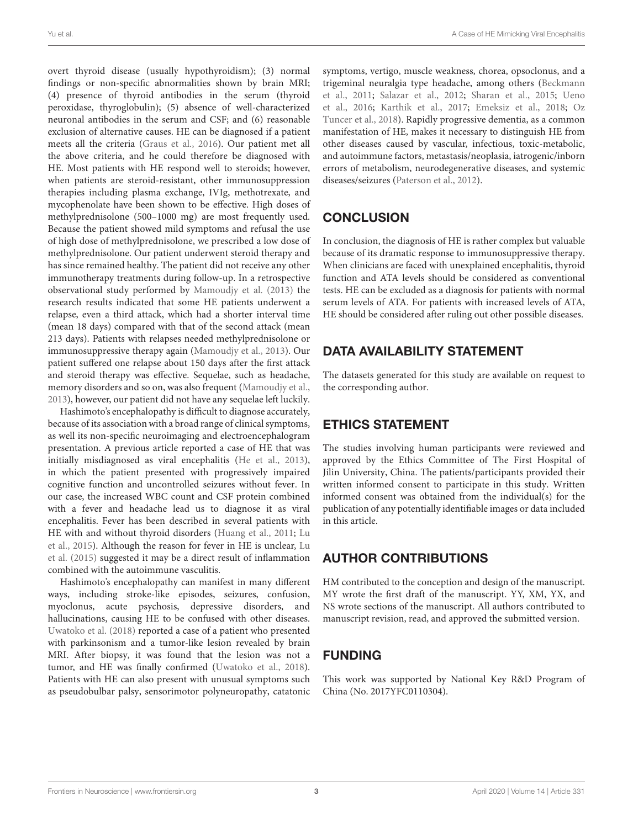overt thyroid disease (usually hypothyroidism); (3) normal findings or non-specific abnormalities shown by brain MRI; (4) presence of thyroid antibodies in the serum (thyroid peroxidase, thyroglobulin); (5) absence of well-characterized neuronal antibodies in the serum and CSF; and (6) reasonable exclusion of alternative causes. HE can be diagnosed if a patient meets all the criteria [\(Graus et al.,](#page-3-7) [2016\)](#page-3-7). Our patient met all the above criteria, and he could therefore be diagnosed with HE. Most patients with HE respond well to steroids; however, when patients are steroid-resistant, other immunosuppression therapies including plasma exchange, IVIg, methotrexate, and mycophenolate have been shown to be effective. High doses of methylprednisolone (500–1000 mg) are most frequently used. Because the patient showed mild symptoms and refusal the use of high dose of methylprednisolone, we prescribed a low dose of methylprednisolone. Our patient underwent steroid therapy and has since remained healthy. The patient did not receive any other immunotherapy treatments during follow-up. In a retrospective observational study performed by [Mamoudjy et al.](#page-3-8) [\(2013\)](#page-3-8) the research results indicated that some HE patients underwent a relapse, even a third attack, which had a shorter interval time (mean 18 days) compared with that of the second attack (mean 213 days). Patients with relapses needed methylprednisolone or immunosuppressive therapy again [\(Mamoudjy et al.,](#page-3-8) [2013\)](#page-3-8). Our patient suffered one relapse about 150 days after the first attack and steroid therapy was effective. Sequelae, such as headache, memory disorders and so on, was also frequent [\(Mamoudjy et al.,](#page-3-8) [2013\)](#page-3-8), however, our patient did not have any sequelae left luckily.

Hashimoto's encephalopathy is difficult to diagnose accurately, because of its association with a broad range of clinical symptoms, as well its non-specific neuroimaging and electroencephalogram presentation. A previous article reported a case of HE that was initially misdiagnosed as viral encephalitis [\(He et al.,](#page-3-9) [2013\)](#page-3-9), in which the patient presented with progressively impaired cognitive function and uncontrolled seizures without fever. In our case, the increased WBC count and CSF protein combined with a fever and headache lead us to diagnose it as viral encephalitis. Fever has been described in several patients with HE with and without thyroid disorders [\(Huang et al.,](#page-3-10) [2011;](#page-3-10) [Lu](#page-3-11) [et al.,](#page-3-11) [2015\)](#page-3-11). Although the reason for fever in HE is unclear, [Lu](#page-3-11) [et al.](#page-3-11) [\(2015\)](#page-3-11) suggested it may be a direct result of inflammation combined with the autoimmune vasculitis.

Hashimoto's encephalopathy can manifest in many different ways, including stroke-like episodes, seizures, confusion, myoclonus, acute psychosis, depressive disorders, and hallucinations, causing HE to be confused with other diseases. [Uwatoko et al.](#page-3-12) [\(2018\)](#page-3-12) reported a case of a patient who presented with parkinsonism and a tumor-like lesion revealed by brain MRI. After biopsy, it was found that the lesion was not a tumor, and HE was finally confirmed [\(Uwatoko et al.,](#page-3-12) [2018\)](#page-3-12). Patients with HE can also present with unusual symptoms such as pseudobulbar palsy, sensorimotor polyneuropathy, catatonic symptoms, vertigo, muscle weakness, chorea, opsoclonus, and a trigeminal neuralgia type headache, among others [\(Beckmann](#page-3-13) [et al.,](#page-3-13) [2011;](#page-3-13) [Salazar et al.,](#page-3-14) [2012;](#page-3-14) [Sharan et al.,](#page-3-15) [2015;](#page-3-15) [Ueno](#page-3-16) [et al.,](#page-3-16) [2016;](#page-3-16) [Karthik et al.,](#page-3-17) [2017;](#page-3-17) [Emeksiz et al.,](#page-3-18) [2018;](#page-3-18) [Oz](#page-3-19) [Tuncer et al.,](#page-3-19) [2018\)](#page-3-19). Rapidly progressive dementia, as a common manifestation of HE, makes it necessary to distinguish HE from other diseases caused by vascular, infectious, toxic-metabolic, and autoimmune factors, metastasis/neoplasia, iatrogenic/inborn errors of metabolism, neurodegenerative diseases, and systemic diseases/seizures [\(Paterson et al.,](#page-3-20) [2012\)](#page-3-20).

## **CONCLUSION**

In conclusion, the diagnosis of HE is rather complex but valuable because of its dramatic response to immunosuppressive therapy. When clinicians are faced with unexplained encephalitis, thyroid function and ATA levels should be considered as conventional tests. HE can be excluded as a diagnosis for patients with normal serum levels of ATA. For patients with increased levels of ATA, HE should be considered after ruling out other possible diseases.

#### DATA AVAILABILITY STATEMENT

The datasets generated for this study are available on request to the corresponding author.

# ETHICS STATEMENT

The studies involving human participants were reviewed and approved by the Ethics Committee of The First Hospital of Jilin University, China. The patients/participants provided their written informed consent to participate in this study. Written informed consent was obtained from the individual(s) for the publication of any potentially identifiable images or data included in this article.

# AUTHOR CONTRIBUTIONS

HM contributed to the conception and design of the manuscript. MY wrote the first draft of the manuscript. YY, XM, YX, and NS wrote sections of the manuscript. All authors contributed to manuscript revision, read, and approved the submitted version.

# FUNDING

This work was supported by National Key R&D Program of China (No. 2017YFC0110304).